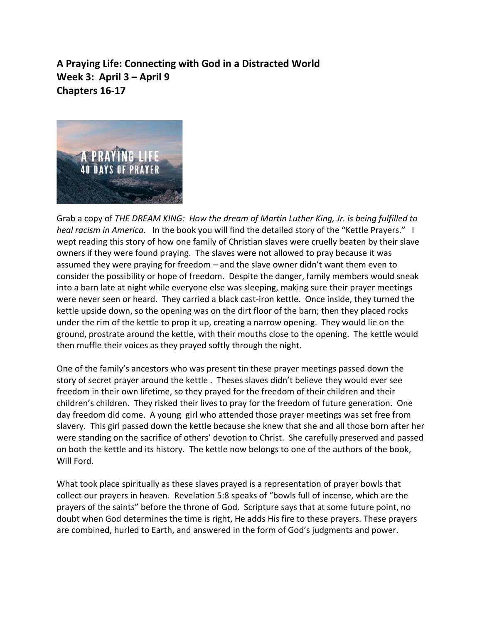**A Praying Life: Connecting with God in a Distracted World Week 3: April 3 – April 9 Chapters 16-17**



Grab a copy of *THE DREAM KING: How the dream of Martin Luther King, Jr. is being fulfilled to heal racism in America*. In the book you will find the detailed story of the "Kettle Prayers." I wept reading this story of how one family of Christian slaves were cruelly beaten by their slave owners if they were found praying. The slaves were not allowed to pray because it was assumed they were praying for freedom – and the slave owner didn't want them even to consider the possibility or hope of freedom. Despite the danger, family members would sneak into a barn late at night while everyone else was sleeping, making sure their prayer meetings were never seen or heard. They carried a black cast-iron kettle. Once inside, they turned the kettle upside down, so the opening was on the dirt floor of the barn; then they placed rocks under the rim of the kettle to prop it up, creating a narrow opening. They would lie on the ground, prostrate around the kettle, with their mouths close to the opening. The kettle would then muffle their voices as they prayed softly through the night.

One of the family's ancestors who was present tin these prayer meetings passed down the story of secret prayer around the kettle . Theses slaves didn't believe they would ever see freedom in their own lifetime, so they prayed for the freedom of their children and their children's children. They risked their lives to pray for the freedom of future generation. One day freedom did come. A young girl who attended those prayer meetings was set free from slavery. This girl passed down the kettle because she knew that she and all those born after her were standing on the sacrifice of others' devotion to Christ. She carefully preserved and passed on both the kettle and its history. The kettle now belongs to one of the authors of the book, Will Ford.

What took place spiritually as these slaves prayed is a representation of prayer bowls that collect our prayers in heaven. Revelation 5:8 speaks of "bowls full of incense, which are the prayers of the saints" before the throne of God. Scripture says that at some future point, no doubt when God determines the time is right, He adds His fire to these prayers. These prayers are combined, hurled to Earth, and answered in the form of God's judgments and power.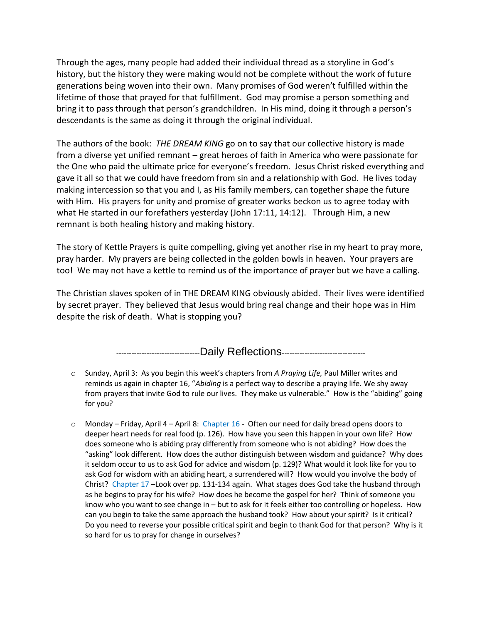Through the ages, many people had added their individual thread as a storyline in God's history, but the history they were making would not be complete without the work of future generations being woven into their own. Many promises of God weren't fulfilled within the lifetime of those that prayed for that fulfillment. God may promise a person something and bring it to pass through that person's grandchildren. In His mind, doing it through a person's descendants is the same as doing it through the original individual.

The authors of the book: *THE DREAM KING* go on to say that our collective history is made from a diverse yet unified remnant – great heroes of faith in America who were passionate for the One who paid the ultimate price for everyone's freedom. Jesus Christ risked everything and gave it all so that we could have freedom from sin and a relationship with God. He lives today making intercession so that you and I, as His family members, can together shape the future with Him. His prayers for unity and promise of greater works beckon us to agree today with what He started in our forefathers yesterday (John 17:11, 14:12). Through Him, a new remnant is both healing history and making history.

The story of Kettle Prayers is quite compelling, giving yet another rise in my heart to pray more, pray harder. My prayers are being collected in the golden bowls in heaven. Your prayers are too! We may not have a kettle to remind us of the importance of prayer but we have a calling.

The Christian slaves spoken of in THE DREAM KING obviously abided. Their lives were identified by secret prayer. They believed that Jesus would bring real change and their hope was in Him despite the risk of death. What is stopping you?

-------------------------------------Daily Reflections--------------------------------

- o Sunday, April 3: As you begin this week's chapters from *A Praying Life,* Paul Miller writes and reminds us again in chapter 16, "*Abiding* is a perfect way to describe a praying life. We shy away from prayers that invite God to rule our lives. They make us vulnerable." How is the "abiding" going for you?
- $\circ$  Monday Friday, April 4 April 8: Chapter 16 Often our need for daily bread opens doors to deeper heart needs for real food (p. 126). How have you seen this happen in your own life? How does someone who is abiding pray differently from someone who is not abiding? How does the "asking" look different. How does the author distinguish between wisdom and guidance? Why does it seldom occur to us to ask God for advice and wisdom (p. 129)? What would it look like for you to ask God for wisdom with an abiding heart, a surrendered will? How would you involve the body of Christ? Chapter 17 –Look over pp. 131-134 again. What stages does God take the husband through as he begins to pray for his wife? How does he become the gospel for her? Think of someone you know who you want to see change in – but to ask for it feels either too controlling or hopeless. How can you begin to take the same approach the husband took? How about your spirit? Is it critical? Do you need to reverse your possible critical spirit and begin to thank God for that person? Why is it so hard for us to pray for change in ourselves?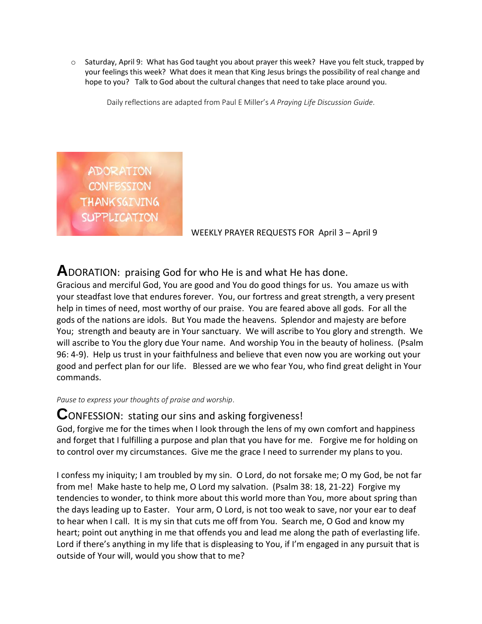$\circ$  Saturday, April 9: What has God taught you about prayer this week? Have you felt stuck, trapped by your feelings this week? What does it mean that King Jesus brings the possibility of real change and hope to you? Talk to God about the cultural changes that need to take place around you.

Daily reflections are adapted from Paul E Miller's *A Praying Life Discussion Guide*.

**ADORATION CONFESSION THANKSGIVING SUPPLICATION** 

WEEKLY PRAYER REQUESTS FOR April 3 – April 9

# **A**DORATION: praising God for who He is and what He has done.

Gracious and merciful God, You are good and You do good things for us. You amaze us with your steadfast love that endures forever. You, our fortress and great strength, a very present help in times of need, most worthy of our praise. You are feared above all gods. For all the gods of the nations are idols. But You made the heavens. Splendor and majesty are before You; strength and beauty are in Your sanctuary. We will ascribe to You glory and strength. We will ascribe to You the glory due Your name. And worship You in the beauty of holiness. (Psalm 96: 4-9). Help us trust in your faithfulness and believe that even now you are working out your good and perfect plan for our life. Blessed are we who fear You, who find great delight in Your commands.

*Pause to express your thoughts of praise and worship*.

# **C**ONFESSION: stating our sins and asking forgiveness!

God, forgive me for the times when I look through the lens of my own comfort and happiness and forget that I fulfilling a purpose and plan that you have for me. Forgive me for holding on to control over my circumstances. Give me the grace I need to surrender my plans to you.

I confess my iniquity; I am troubled by my sin. O Lord, do not forsake me; O my God, be not far from me! Make haste to help me, O Lord my salvation. (Psalm 38: 18, 21-22) Forgive my tendencies to wonder, to think more about this world more than You, more about spring than the days leading up to Easter. Your arm, O Lord, is not too weak to save, nor your ear to deaf to hear when I call. It is my sin that cuts me off from You. Search me, O God and know my heart; point out anything in me that offends you and lead me along the path of everlasting life. Lord if there's anything in my life that is displeasing to You, if I'm engaged in any pursuit that is outside of Your will, would you show that to me?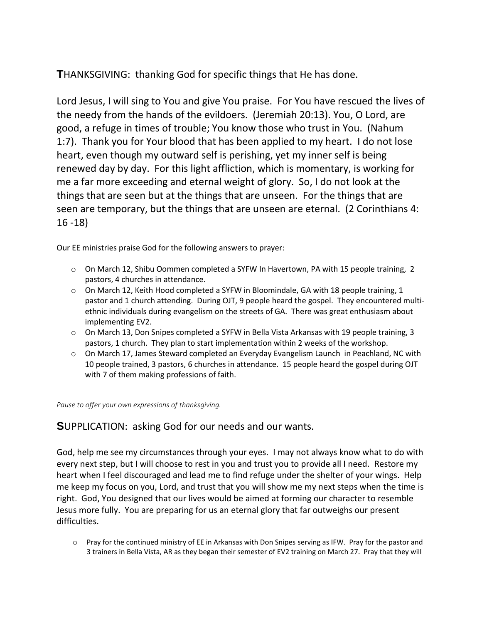**T**HANKSGIVING: thanking God for specific things that He has done.

Lord Jesus, I will sing to You and give You praise. For You have rescued the lives of the needy from the hands of the evildoers. (Jeremiah 20:13). You, O Lord, are good, a refuge in times of trouble; You know those who trust in You. (Nahum 1:7). Thank you for Your blood that has been applied to my heart. I do not lose heart, even though my outward self is perishing, yet my inner self is being renewed day by day. For this light affliction, which is momentary, is working for me a far more exceeding and eternal weight of glory. So, I do not look at the things that are seen but at the things that are unseen. For the things that are seen are temporary, but the things that are unseen are eternal. (2 Corinthians 4: 16 -18)

Our EE ministries praise God for the following answers to prayer:

- o On March 12, Shibu Oommen completed a SYFW In Havertown, PA with 15 people training, 2 pastors, 4 churches in attendance.
- $\circ$  On March 12, Keith Hood completed a SYFW in Bloomindale, GA with 18 people training, 1 pastor and 1 church attending. During OJT, 9 people heard the gospel. They encountered multiethnic individuals during evangelism on the streets of GA. There was great enthusiasm about implementing EV2.
- $\circ$  On March 13, Don Snipes completed a SYFW in Bella Vista Arkansas with 19 people training, 3 pastors, 1 church. They plan to start implementation within 2 weeks of the workshop.
- o On March 17, James Steward completed an Everyday Evangelism Launch in Peachland, NC with 10 people trained, 3 pastors, 6 churches in attendance. 15 people heard the gospel during OJT with 7 of them making professions of faith.

*Pause to offer your own expressions of thanksgiving.*

# **S**UPPLICATION: asking God for our needs and our wants.

God, help me see my circumstances through your eyes. I may not always know what to do with every next step, but I will choose to rest in you and trust you to provide all I need. Restore my heart when I feel discouraged and lead me to find refuge under the shelter of your wings. Help me keep my focus on you, Lord, and trust that you will show me my next steps when the time is right. God, You designed that our lives would be aimed at forming our character to resemble Jesus more fully. You are preparing for us an eternal glory that far outweighs our present difficulties.

o Pray for the continued ministry of EE in Arkansas with Don Snipes serving as IFW. Pray for the pastor and 3 trainers in Bella Vista, AR as they began their semester of EV2 training on March 27. Pray that they will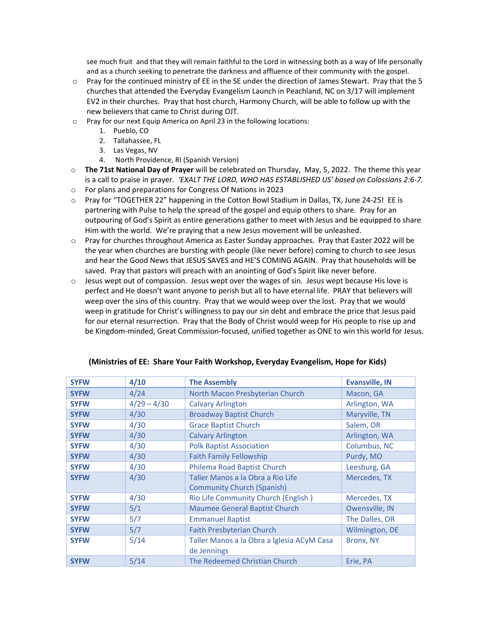see much fruit and that they will remain faithful to the Lord in witnessing both as a way of life personally and as a church seeking to penetrate the darkness and affluence of their community with the gospel.

- o Pray for the continued ministry of EE in the SE under the direction of James Stewart. Pray that the 5 churches that attended the Everyday Evangelism Launch in Peachland, NC on 3/17 will implement EV2 in their churches. Pray that host church, Harmony Church, will be able to follow up with the new believers that came to Christ during OJT.
- o Pray for our next Equip America on April 23 in the following locations:
	- 1. Pueblo, CO
	- 2. Tallahassee, FL
	- 3. Las Vegas, NV
	- 4. North Providence, RI (Spanish Version)
- o **The 71st National Day of Prayer** will be celebrated on Thursday, May, 5, 2022. The theme this year is a call to praise in prayer*. 'EXALT THE LORD, WHO HAS ESTABLISHED US' based on Colossians 2:6-7.*
- o For plans and preparations for Congress Of Nations in 2023
- $\circ$  Pray for "TOGETHER 22" happening in the Cotton Bowl Stadium in Dallas, TX, June 24-25! EE is partnering with Pulse to help the spread of the gospel and equip others to share. Pray for an outpouring of God's Spirit as entire generations gather to meet with Jesus and be equipped to share Him with the world. We're praying that a new Jesus movement will be unleashed.
- o Pray for churches throughout America as Easter Sunday approaches. Pray that Easter 2022 will be the year when churches are bursting with people (like never before) coming to church to see Jesus and hear the Good News that JESUS SAVES and HE'S COMING AGAIN. Pray that households will be saved. Pray that pastors will preach with an anointing of God's Spirit like never before.
- o Jesus wept out of compassion. Jesus wept over the wages of sin. Jesus wept because His love is perfect and He doesn't want anyone to perish but all to have eternal life. PRAY that believers will weep over the sins of this country. Pray that we would weep over the lost. Pray that we would weep in gratitude for Christ's willingness to pay our sin debt and embrace the price that Jesus paid for our eternal resurrection. Pray that the Body of Christ would weep for His people to rise up and be Kingdom-minded, Great Commission-focused, unified together as ONE to win this world for Jesus.

| <b>SYFW</b> | 4/10          | <b>The Assembly</b>                        | <b>Evansville, IN</b> |
|-------------|---------------|--------------------------------------------|-----------------------|
| <b>SYFW</b> | 4/24          | North Macon Presbyterian Church            | Macon, GA             |
| <b>SYFW</b> | $4/29 - 4/30$ | <b>Calvary Arlington</b>                   | Arlington, WA         |
| <b>SYFW</b> | 4/30          | <b>Broadway Baptist Church</b>             | Maryville, TN         |
| <b>SYFW</b> | 4/30          | <b>Grace Baptist Church</b>                | Salem, OR             |
| <b>SYFW</b> | 4/30          | <b>Calvary Arlington</b>                   | Arlington, WA         |
| <b>SYFW</b> | 4/30          | <b>Polk Baptist Association</b>            | Columbus, NC          |
| <b>SYFW</b> | 4/30          | <b>Faith Family Fellowship</b>             | Purdy, MO             |
| <b>SYFW</b> | 4/30          | Philema Road Baptist Church                | Leesburg, GA          |
| <b>SYFW</b> | 4/30          | Taller Manos a la Obra a Rio Life          | Mercedes, TX          |
|             |               | <b>Community Church (Spanish)</b>          |                       |
| <b>SYFW</b> | 4/30          | Rio Life Community Church (English)        | Mercedes, TX          |
| <b>SYFW</b> | 5/1           | Maumee General Baptist Church              | Owensville, IN        |
| <b>SYFW</b> | 5/7           | <b>Emmanuel Baptist</b>                    | The Dalles, OR        |
| <b>SYFW</b> | 5/7           | <b>Faith Presbyterian Church</b>           | Wilmington, DE        |
| <b>SYFW</b> | 5/14          | Taller Manos a la Obra a Iglesia ACyM Casa | Bronx, NY             |
|             |               | de Jennings                                |                       |
| <b>SYFW</b> | 5/14          | The Redeemed Christian Church              | Erie, PA              |

#### **(Ministries of EE: Share Your Faith Workshop, Everyday Evangelism, Hope for Kids)**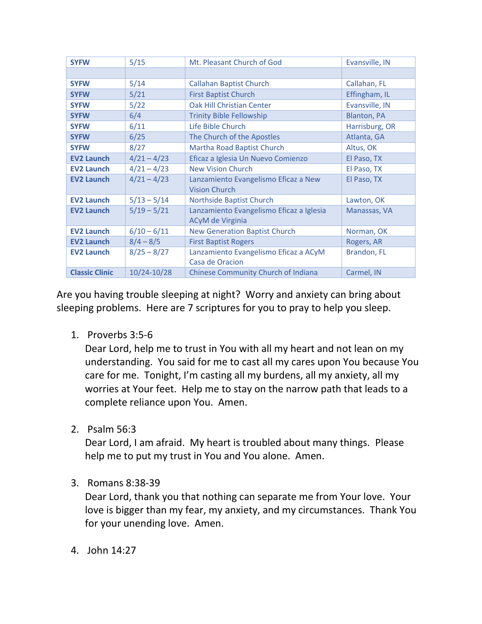| <b>SYFW</b>           | 5/15          | Mt. Pleasant Church of God                                   | Evansville, IN     |
|-----------------------|---------------|--------------------------------------------------------------|--------------------|
|                       |               |                                                              |                    |
| <b>SYFW</b>           | 5/14          | <b>Callahan Baptist Church</b>                               | Callahan, FL       |
| <b>SYFW</b>           | 5/21          | <b>First Baptist Church</b>                                  | Effingham, IL      |
| <b>SYFW</b>           | 5/22          | <b>Oak Hill Christian Center</b>                             | Evansville, IN     |
| <b>SYFW</b>           | 6/4           | <b>Trinity Bible Fellowship</b>                              | <b>Blanton, PA</b> |
| <b>SYFW</b>           | 6/11          | Life Bible Church                                            | Harrisburg, OR     |
| <b>SYFW</b>           | 6/25          | The Church of the Apostles                                   | Atlanta, GA        |
| <b>SYFW</b>           | 8/27          | Martha Road Baptist Church                                   | Altus, OK          |
| <b>EV2 Launch</b>     | $4/21 - 4/23$ | Eficaz a Iglesia Un Nuevo Comienzo                           | El Paso, TX        |
| <b>EV2 Launch</b>     | $4/21 - 4/23$ | New Vision Church                                            | El Paso, TX        |
| <b>EV2 Launch</b>     | $4/21 - 4/23$ | Lanzamiento Evangelismo Eficaz a New<br><b>Vision Church</b> | El Paso, TX        |
| <b>EV2 Launch</b>     | $5/13 - 5/14$ | <b>Northside Baptist Church</b>                              | Lawton, OK         |
| <b>EV2 Launch</b>     | $5/19 - 5/21$ | Lanzamiento Evangelismo Eficaz a Iglesia<br>ACyM de Virginia | Manassas, VA       |
| <b>EV2 Launch</b>     | $6/10 - 6/11$ | <b>New Generation Baptist Church</b>                         | Norman, OK         |
| <b>EV2 Launch</b>     | $8/4 - 8/5$   | <b>First Baptist Rogers</b>                                  | Rogers, AR         |
| <b>EV2 Launch</b>     | $8/25 - 8/27$ | Lanzamiento Evangelismo Eficaz a ACyM<br>Casa de Oracion     | Brandon, FL        |
| <b>Classic Clinic</b> | 10/24-10/28   | Chinese Community Church of Indiana                          | Carmel, IN         |

Are you having trouble sleeping at night? Worry and anxiety can bring about sleeping problems. Here are 7 scriptures for you to pray to help you sleep.

1. Proverbs 3:5-6

Dear Lord, help me to trust in You with all my heart and not lean on my understanding. You said for me to cast all my cares upon You because You care for me. Tonight, I'm casting all my burdens, all my anxiety, all my worries at Your feet. Help me to stay on the narrow path that leads to a complete reliance upon You. Amen.

2. Psalm 56:3

Dear Lord, I am afraid. My heart is troubled about many things. Please help me to put my trust in You and You alone. Amen.

3. Romans 8:38-39

Dear Lord, thank you that nothing can separate me from Your love. Your love is bigger than my fear, my anxiety, and my circumstances. Thank You for your unending love. Amen.

4. John 14:27